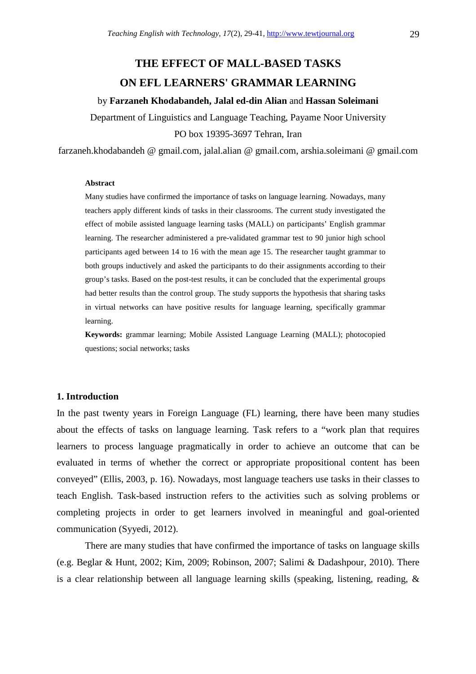# **THE EFFECT OF MALL-BASED TASKS ON EFL LEARNERS' GRAMMAR LEARNING**

#### by **Farzaneh Khodabandeh, Jalal ed-din Alian** and **Hassan Soleimani**

Department of Linguistics and Language Teaching, Payame Noor University PO box 19395-3697 Tehran, Iran

farzaneh.khodabandeh @ gmail.com, jalal.alian @ gmail.com, arshia.soleimani @ gmail.com

#### **Abstract**

Many studies have confirmed the importance of tasks on language learning. Nowadays, many teachers apply different kinds of tasks in their classrooms. The current study investigated the effect of mobile assisted language learning tasks (MALL) on participants' English grammar learning. The researcher administered a pre-validated grammar test to 90 junior high school participants aged between 14 to 16 with the mean age 15. The researcher taught grammar to both groups inductively and asked the participants to do their assignments according to their group's tasks. Based on the post-test results, it can be concluded that the experimental groups had better results than the control group. The study supports the hypothesis that sharing tasks in virtual networks can have positive results for language learning, specifically grammar learning.

**Keywords:** grammar learning; Mobile Assisted Language Learning (MALL); photocopied questions; social networks; tasks

### **1. Introduction**

In the past twenty years in Foreign Language (FL) learning, there have been many studies about the effects of tasks on language learning. Task refers to a "work plan that requires learners to process language pragmatically in order to achieve an outcome that can be evaluated in terms of whether the correct or appropriate propositional content has been conveyed" (Ellis, 2003, p. 16). Nowadays, most language teachers use tasks in their classes to teach English. Task-based instruction refers to the activities such as solving problems or completing projects in order to get learners involved in meaningful and goal-oriented communication (Syyedi, 2012).

There are many studies that have confirmed the importance of tasks on language skills (e.g. Beglar & Hunt, 2002; Kim, 2009; Robinson, 2007; Salimi & Dadashpour, 2010). There is a clear relationship between all language learning skills (speaking, listening, reading, &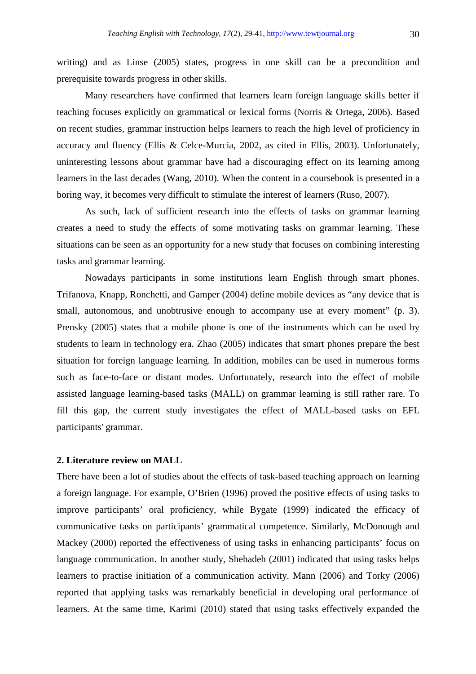writing) and as Linse (2005) states, progress in one skill can be a precondition and prerequisite towards progress in other skills.

Many researchers have confirmed that learners learn foreign language skills better if teaching focuses explicitly on grammatical or lexical forms (Norris & Ortega, 2006). Based on recent studies, grammar instruction helps learners to reach the high level of proficiency in accuracy and fluency (Ellis & Celce-Murcia, 2002, as cited in Ellis, 2003). Unfortunately, uninteresting lessons about grammar have had a discouraging effect on its learning among learners in the last decades (Wang, 2010). When the content in a coursebook is presented in a boring way, it becomes very difficult to stimulate the interest of learners (Ruso, 2007).

As such, lack of sufficient research into the effects of tasks on grammar learning creates a need to study the effects of some motivating tasks on grammar learning. These situations can be seen as an opportunity for a new study that focuses on combining interesting tasks and grammar learning.

Nowadays participants in some institutions learn English through smart phones. Trifanova, Knapp, Ronchetti, and Gamper (2004) define mobile devices as "any device that is small, autonomous, and unobtrusive enough to accompany use at every moment" (p. 3). Prensky (2005) states that a mobile phone is one of the instruments which can be used by students to learn in technology era. Zhao (2005) indicates that smart phones prepare the best situation for foreign language learning. In addition, mobiles can be used in numerous forms such as face-to-face or distant modes. Unfortunately, research into the effect of mobile assisted language learning-based tasks (MALL) on grammar learning is still rather rare. To fill this gap, the current study investigates the effect of MALL-based tasks on EFL participants' grammar.

#### **2. Literature review on MALL**

There have been a lot of studies about the effects of task-based teaching approach on learning a foreign language. For example, O'Brien (1996) proved the positive effects of using tasks to improve participants' oral proficiency, while Bygate (1999) indicated the efficacy of communicative tasks on participants' grammatical competence. Similarly, McDonough and Mackey (2000) reported the effectiveness of using tasks in enhancing participants' focus on language communication. In another study, Shehadeh (2001) indicated that using tasks helps learners to practise initiation of a communication activity. Mann (2006) and Torky (2006) reported that applying tasks was remarkably beneficial in developing oral performance of learners. At the same time, Karimi (2010) stated that using tasks effectively expanded the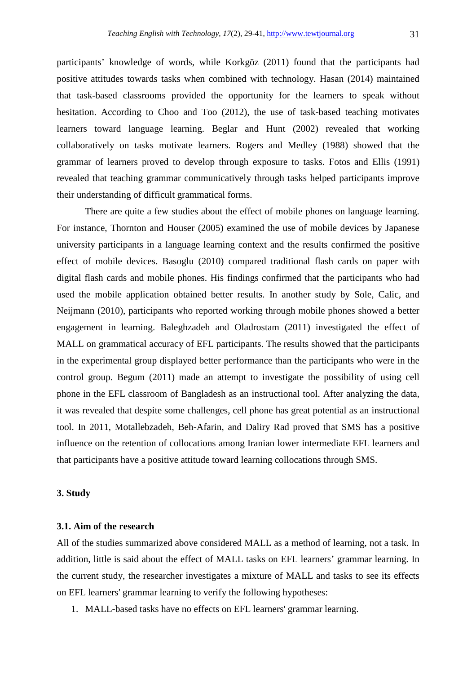participants' knowledge of words, while Korkgöz (2011) found that the participants had positive attitudes towards tasks when combined with technology. Hasan (2014) maintained that task-based classrooms provided the opportunity for the learners to speak without hesitation. According to Choo and Too (2012), the use of task-based teaching motivates learners toward language learning. Beglar and Hunt (2002) revealed that working collaboratively on tasks motivate learners. Rogers and Medley (1988) showed that the grammar of learners proved to develop through exposure to tasks. Fotos and Ellis (1991) revealed that teaching grammar communicatively through tasks helped participants improve their understanding of difficult grammatical forms.

There are quite a few studies about the effect of mobile phones on language learning. For instance, Thornton and Houser (2005) examined the use of mobile devices by Japanese university participants in a language learning context and the results confirmed the positive effect of mobile devices. Basoglu (2010) compared traditional flash cards on paper with digital flash cards and mobile phones. His findings confirmed that the participants who had used the mobile application obtained better results. In another study by Sole, Calic, and Neijmann (2010), participants who reported working through mobile phones showed a better engagement in learning. Baleghzadeh and Oladrostam (2011) investigated the effect of MALL on grammatical accuracy of EFL participants. The results showed that the participants in the experimental group displayed better performance than the participants who were in the control group. Begum (2011) made an attempt to investigate the possibility of using cell phone in the EFL classroom of Bangladesh as an instructional tool. After analyzing the data, it was revealed that despite some challenges, cell phone has great potential as an instructional tool. In 2011, Motallebzadeh, Beh-Afarin, and Daliry Rad proved that SMS has a positive influence on the retention of collocations among Iranian lower intermediate EFL learners and that participants have a positive attitude toward learning collocations through SMS.

#### **3. Study**

### **3.1. Aim of the research**

All of the studies summarized above considered MALL as a method of learning, not a task. In addition, little is said about the effect of MALL tasks on EFL learners' grammar learning. In the current study, the researcher investigates a mixture of MALL and tasks to see its effects on EFL learners' grammar learning to verify the following hypotheses:

1. MALL-based tasks have no effects on EFL learners' grammar learning.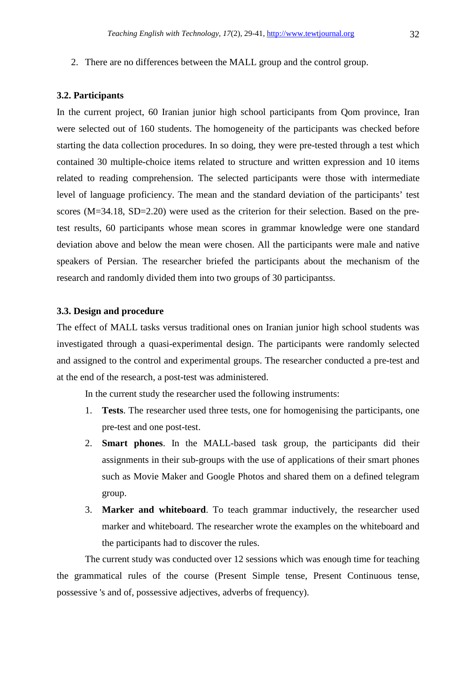2. There are no differences between the MALL group and the control group.

### **3.2. Participants**

In the current project, 60 Iranian junior high school participants from Qom province, Iran were selected out of 160 students. The homogeneity of the participants was checked before starting the data collection procedures. In so doing, they were pre-tested through a test which contained 30 multiple-choice items related to structure and written expression and 10 items related to reading comprehension. The selected participants were those with intermediate level of language proficiency. The mean and the standard deviation of the participants' test scores (M=34.18, SD=2.20) were used as the criterion for their selection. Based on the pretest results, 60 participants whose mean scores in grammar knowledge were one standard deviation above and below the mean were chosen. All the participants were male and native speakers of Persian. The researcher briefed the participants about the mechanism of the research and randomly divided them into two groups of 30 participantss.

# **3.3. Design and procedure**

The effect of MALL tasks versus traditional ones on Iranian junior high school students was investigated through a quasi-experimental design. The participants were randomly selected and assigned to the control and experimental groups. The researcher conducted a pre-test and at the end of the research, a post-test was administered.

In the current study the researcher used the following instruments:

- 1. **Tests**. The researcher used three tests, one for homogenising the participants, one pre-test and one post-test.
- 2. **Smart phones**. In the MALL-based task group, the participants did their assignments in their sub-groups with the use of applications of their smart phones such as Movie Maker and Google Photos and shared them on a defined telegram group.
- 3. **Marker and whiteboard**. To teach grammar inductively, the researcher used marker and whiteboard. The researcher wrote the examples on the whiteboard and the participants had to discover the rules.

The current study was conducted over 12 sessions which was enough time for teaching the grammatical rules of the course (Present Simple tense, Present Continuous tense, possessive 's and of, possessive adjectives, adverbs of frequency).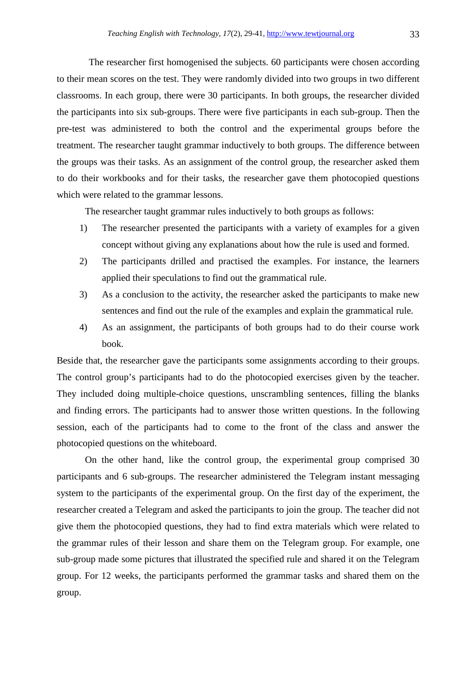The researcher first homogenised the subjects. 60 participants were chosen according to their mean scores on the test. They were randomly divided into two groups in two different classrooms. In each group, there were 30 participants. In both groups, the researcher divided the participants into six sub-groups. There were five participants in each sub-group. Then the pre-test was administered to both the control and the experimental groups before the treatment. The researcher taught grammar inductively to both groups. The difference between the groups was their tasks. As an assignment of the control group, the researcher asked them to do their workbooks and for their tasks, the researcher gave them photocopied questions which were related to the grammar lessons.

The researcher taught grammar rules inductively to both groups as follows:

- 1) The researcher presented the participants with a variety of examples for a given concept without giving any explanations about how the rule is used and formed.
- 2) The participants drilled and practised the examples. For instance, the learners applied their speculations to find out the grammatical rule.
- 3) As a conclusion to the activity, the researcher asked the participants to make new sentences and find out the rule of the examples and explain the grammatical rule.
- 4) As an assignment, the participants of both groups had to do their course work book.

Beside that, the researcher gave the participants some assignments according to their groups. The control group's participants had to do the photocopied exercises given by the teacher. They included doing multiple-choice questions, unscrambling sentences, filling the blanks and finding errors. The participants had to answer those written questions. In the following session, each of the participants had to come to the front of the class and answer the photocopied questions on the whiteboard.

 On the other hand, like the control group, the experimental group comprised 30 participants and 6 sub-groups. The researcher administered the Telegram instant messaging system to the participants of the experimental group. On the first day of the experiment, the researcher created a Telegram and asked the participants to join the group. The teacher did not give them the photocopied questions, they had to find extra materials which were related to the grammar rules of their lesson and share them on the Telegram group. For example, one sub-group made some pictures that illustrated the specified rule and shared it on the Telegram group. For 12 weeks, the participants performed the grammar tasks and shared them on the group.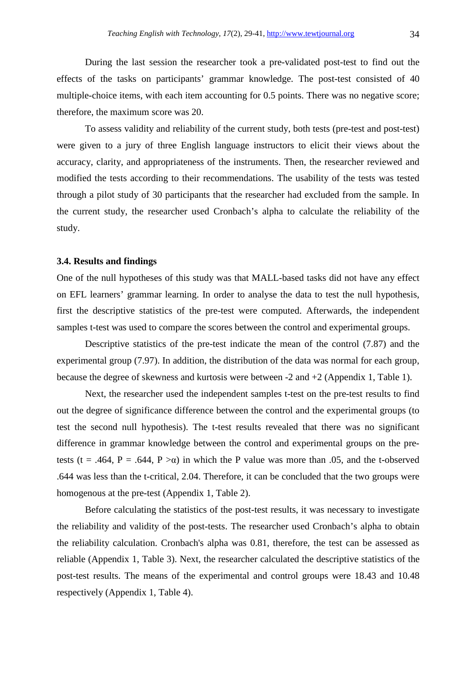During the last session the researcher took a pre-validated post-test to find out the effects of the tasks on participants' grammar knowledge. The post-test consisted of 40 multiple-choice items, with each item accounting for 0.5 points. There was no negative score; therefore, the maximum score was 20.

To assess validity and reliability of the current study, both tests (pre-test and post-test) were given to a jury of three English language instructors to elicit their views about the accuracy, clarity, and appropriateness of the instruments. Then, the researcher reviewed and modified the tests according to their recommendations. The usability of the tests was tested through a pilot study of 30 participants that the researcher had excluded from the sample. In the current study, the researcher used Cronbach's alpha to calculate the reliability of the study.

## **3.4. Results and findings**

One of the null hypotheses of this study was that MALL-based tasks did not have any effect on EFL learners' grammar learning. In order to analyse the data to test the null hypothesis, first the descriptive statistics of the pre-test were computed. Afterwards, the independent samples t-test was used to compare the scores between the control and experimental groups.

Descriptive statistics of the pre-test indicate the mean of the control (7.87) and the experimental group (7.97). In addition, the distribution of the data was normal for each group, because the degree of skewness and kurtosis were between -2 and +2 (Appendix 1, Table 1).

Next, the researcher used the independent samples t-test on the pre-test results to find out the degree of significance difference between the control and the experimental groups (to test the second null hypothesis). The t-test results revealed that there was no significant difference in grammar knowledge between the control and experimental groups on the pretests (t = .464, P = .644, P >  $\alpha$ ) in which the P value was more than .05, and the t-observed .644 was less than the t-critical, 2.04. Therefore, it can be concluded that the two groups were homogenous at the pre-test (Appendix 1, Table 2).

Before calculating the statistics of the post-test results, it was necessary to investigate the reliability and validity of the post-tests. The researcher used Cronbach's alpha to obtain the reliability calculation. Cronbach's alpha was 0.81, therefore, the test can be assessed as reliable (Appendix 1, Table 3). Next, the researcher calculated the descriptive statistics of the post-test results. The means of the experimental and control groups were 18.43 and 10.48 respectively (Appendix 1, Table 4).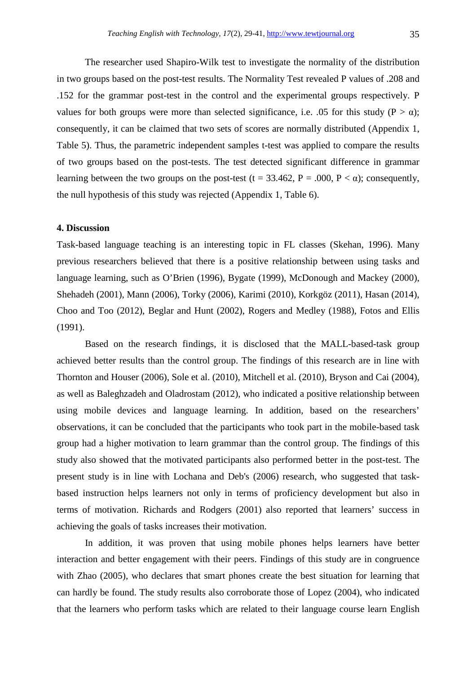The researcher used Shapiro-Wilk test to investigate the normality of the distribution in two groups based on the post-test results. The Normality Test revealed P values of .208 and .152 for the grammar post-test in the control and the experimental groups respectively. P values for both groups were more than selected significance, i.e. .05 for this study ( $P > \alpha$ ); consequently, it can be claimed that two sets of scores are normally distributed (Appendix 1, Table 5). Thus, the parametric independent samples t-test was applied to compare the results of two groups based on the post-tests. The test detected significant difference in grammar learning between the two groups on the post-test (t = 33.462, P = .000, P <  $\alpha$ ); consequently, the null hypothesis of this study was rejected (Appendix 1, Table 6).

# **4. Discussion**

Task-based language teaching is an interesting topic in FL classes (Skehan, 1996). Many previous researchers believed that there is a positive relationship between using tasks and language learning, such as O'Brien (1996), Bygate (1999), McDonough and Mackey (2000), Shehadeh (2001), Mann (2006), Torky (2006), Karimi (2010), Korkgöz (2011), Hasan (2014), Choo and Too (2012), Beglar and Hunt (2002), Rogers and Medley (1988), Fotos and Ellis (1991).

Based on the research findings, it is disclosed that the MALL-based-task group achieved better results than the control group. The findings of this research are in line with Thornton and Houser (2006), Sole et al. (2010), Mitchell et al. (2010), Bryson and Cai (2004), as well as Baleghzadeh and Oladrostam (2012), who indicated a positive relationship between using mobile devices and language learning. In addition, based on the researchers' observations, it can be concluded that the participants who took part in the mobile-based task group had a higher motivation to learn grammar than the control group. The findings of this study also showed that the motivated participants also performed better in the post-test. The present study is in line with Lochana and Deb's (2006) research, who suggested that taskbased instruction helps learners not only in terms of proficiency development but also in terms of motivation. Richards and Rodgers (2001) also reported that learners' success in achieving the goals of tasks increases their motivation.

In addition, it was proven that using mobile phones helps learners have better interaction and better engagement with their peers. Findings of this study are in congruence with Zhao (2005), who declares that smart phones create the best situation for learning that can hardly be found. The study results also corroborate those of Lopez (2004), who indicated that the learners who perform tasks which are related to their language course learn English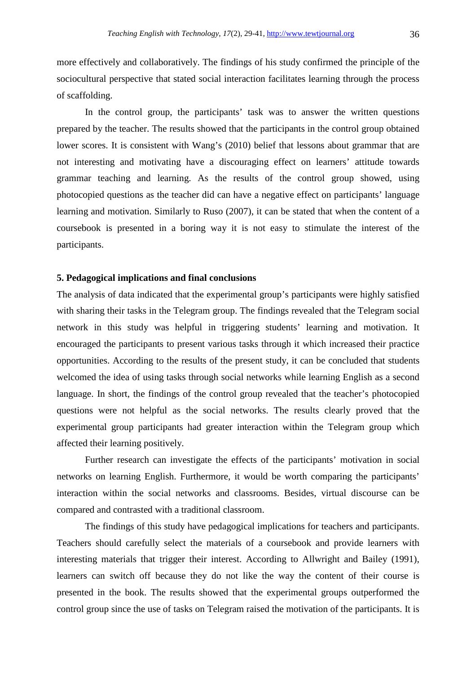more effectively and collaboratively. The findings of his study confirmed the principle of the sociocultural perspective that stated social interaction facilitates learning through the process of scaffolding.

In the control group, the participants' task was to answer the written questions prepared by the teacher. The results showed that the participants in the control group obtained lower scores. It is consistent with Wang's (2010) belief that lessons about grammar that are not interesting and motivating have a discouraging effect on learners' attitude towards grammar teaching and learning. As the results of the control group showed, using photocopied questions as the teacher did can have a negative effect on participants' language learning and motivation. Similarly to Ruso (2007), it can be stated that when the content of a coursebook is presented in a boring way it is not easy to stimulate the interest of the participants.

# **5. Pedagogical implications and final conclusions**

The analysis of data indicated that the experimental group's participants were highly satisfied with sharing their tasks in the Telegram group. The findings revealed that the Telegram social network in this study was helpful in triggering students' learning and motivation. It encouraged the participants to present various tasks through it which increased their practice opportunities. According to the results of the present study, it can be concluded that students welcomed the idea of using tasks through social networks while learning English as a second language. In short, the findings of the control group revealed that the teacher's photocopied questions were not helpful as the social networks. The results clearly proved that the experimental group participants had greater interaction within the Telegram group which affected their learning positively.

Further research can investigate the effects of the participants' motivation in social networks on learning English. Furthermore, it would be worth comparing the participants' interaction within the social networks and classrooms. Besides, virtual discourse can be compared and contrasted with a traditional classroom.

The findings of this study have pedagogical implications for teachers and participants. Teachers should carefully select the materials of a coursebook and provide learners with interesting materials that trigger their interest. According to Allwright and Bailey (1991), learners can switch off because they do not like the way the content of their course is presented in the book. The results showed that the experimental groups outperformed the control group since the use of tasks on Telegram raised the motivation of the participants. It is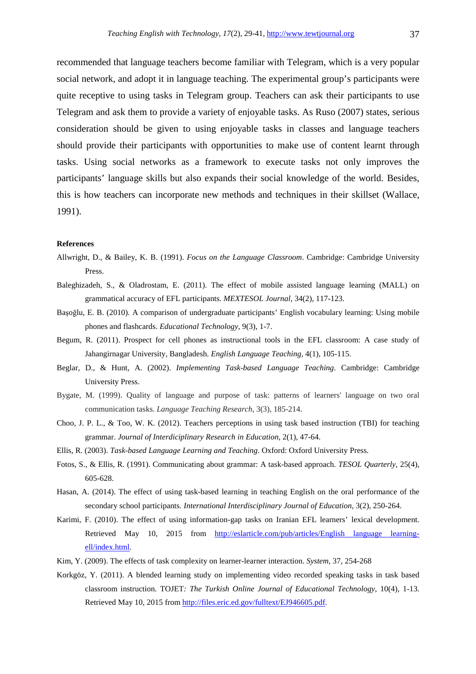recommended that language teachers become familiar with Telegram, which is a very popular social network, and adopt it in language teaching. The experimental group's participants were quite receptive to using tasks in Telegram group. Teachers can ask their participants to use Telegram and ask them to provide a variety of enjoyable tasks. As Ruso (2007) states, serious consideration should be given to using enjoyable tasks in classes and language teachers should provide their participants with opportunities to make use of content learnt through tasks. Using social networks as a framework to execute tasks not only improves the participants' language skills but also expands their social knowledge of the world. Besides, this is how teachers can incorporate new methods and techniques in their skillset (Wallace, 1991).

#### **References**

- Allwright, D., & Bailey, K. B. (1991). *Focus on the Language Classroom*. Cambridge: Cambridge University Press.
- Baleghizadeh, S., & Oladrostam, E. (2011). The effect of mobile assisted language learning (MALL) on grammatical accuracy of EFL participants. *MEXTESOL Journal,* 34(2), 117-123.
- Başoğlu, E. B. (2010). A comparison of undergraduate participants' English vocabulary learning: Using mobile phones and flashcards. *Educational Technology*, 9(3), 1-7.
- Begum, R. (2011). Prospect for cell phones as instructional tools in the EFL classroom: A case study of Jahangirnagar University, Bangladesh. *English Language Teaching*, 4(1), 105-115.
- Beglar, D., & Hunt, A. (2002). *Implementing Task-based Language Teaching*. Cambridge: Cambridge University Press.
- Bygate, M. (1999). Quality of language and purpose of task: patterns of learners' language on two oral communication tasks. *Language Teaching Research,* 3(3), 185-214.
- Choo, J. P. L., & Too, W. K. (2012). Teachers perceptions in using task based instruction (TBI) for teaching grammar. *Journal of Interdiciplinary Research in Education,* 2(1), 47-64.
- Ellis, R. (2003). *Task-based Language Learning and Teaching*. Oxford: Oxford University Press.
- Fotos, S., & Ellis, R. (1991). Communicating about grammar: A task-based approach. *TESOL Quarterly*, 25(4), 605-628.
- Hasan, A. (2014). The effect of using task-based learning in teaching English on the oral performance of the secondary school participants. *International Interdisciplinary Journal of Education,* 3(2), 250-264.
- Karimi, F. (2010). The effect of using information-gap tasks on Iranian EFL learners' lexical development. Retrieved May 10, 2015 from http://eslarticle.com/pub/articles/English language learningell/index.html.
- Kim, Y. (2009). The effects of task complexity on learner-learner interaction. *System,* 37, 254-268
- Korkgöz, Y. (2011). A blended learning study on implementing video recorded speaking tasks in task based classroom instruction. TOJET*: The Turkish Online Journal of Educational Technology*, 10(4), 1-13. Retrieved May 10, 2015 from http://files.eric.ed.gov/fulltext/EJ946605.pdf.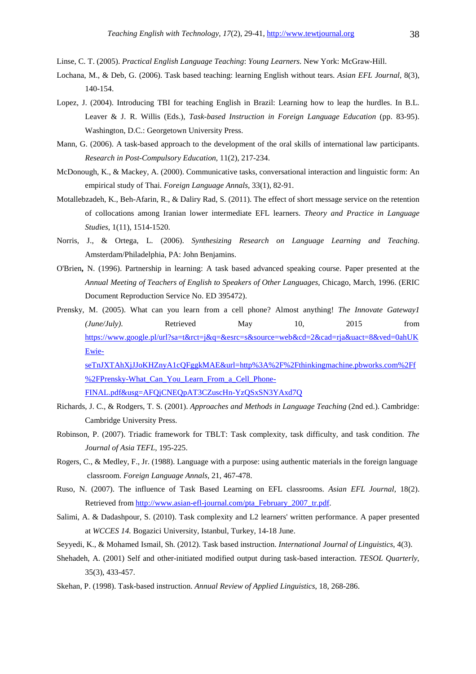Linse, C. T. (2005). *Practical English Language Teaching*: *Young Learners*. New York: McGraw-Hill.

- Lochana, M., & Deb, G. (2006). Task based teaching: learning English without tears. *Asian EFL Journal*, 8(3), 140-154.
- Lopez, J. (2004). Introducing TBI for teaching English in Brazil: Learning how to leap the hurdles. In B.L. Leaver & J. R. Willis (Eds.), *Task-based Instruction in Foreign Language Education* (pp. 83-95). Washington, D.C.: Georgetown University Press.
- Mann, G. (2006). A task-based approach to the development of the oral skills of international law participants. *Research in Post-Compulsory Education,* 11(2), 217-234.
- McDonough, K., & Mackey, A. (2000). Communicative tasks, conversational interaction and linguistic form: An empirical study of Thai. *Foreign Language Annals,* 33(1), 82-91.
- Motallebzadeh, K., Beh-Afarin, R., & Daliry Rad, S. (2011). The effect of short message service on the retention of collocations among Iranian lower intermediate EFL learners. *Theory and Practice in Language Studies*, 1(11), 1514-1520.
- Norris, J., & Ortega, L. (2006). *Synthesizing Research on Language Learning and Teaching*. Amsterdam/Philadelphia, PA: John Benjamins.
- O'Brien**,** N. (1996). Partnership in learning: A task based advanced speaking course. Paper presented at the *Annual Meeting of Teachers of English to Speakers of Other Languages,* Chicago, March, 1996. (ERIC Document Reproduction Service No. ED 395472).
- Prensky, M. (2005). What can you learn from a cell phone? Almost anything! *The Innovate Gateway1 (June/July)*. Retrieved May 10, 2015 from https://www.google.pl/url?sa=t&rct=j&q=&esrc=s&source=web&cd=2&cad=rja&uact=8&ved=0ahUK Ewie-

seTnJXTAhXjJJoKHZnyA1cQFggkMAE&url=http%3A%2F%2Fthinkingmachine.pbworks.com%2Ff %2FPrensky-What\_Can\_You\_Learn\_From\_a\_Cell\_Phone-

FINAL.pdf&usg=AFQjCNEQpAT3CZuscHn-YzQSxSN3YAxd7Q

- Richards, J. C., & Rodgers, T. S. (2001). *Approaches and Methods in Language Teaching* (2nd ed.). Cambridge: Cambridge University Press.
- Robinson, P. (2007). Triadic framework for TBLT: Task complexity, task difficulty, and task condition. *The Journal of Asia TEFL,* 195-225.
- Rogers, C., & Medley, F., Jr. (1988). Language with a purpose: using authentic materials in the foreign language classroom. *Foreign Language Annals*, 21, 467-478.
- Ruso, N. (2007). The influence of Task Based Learning on EFL classrooms. *Asian EFL Journal,* 18(2). Retrieved from http://www.asian-efl-journal.com/pta\_February\_2007\_tr.pdf.
- Salimi, A. & Dadashpour, S. (2010). Task complexity and L2 learners' written performance. A paper presented at *WCCES 14.* Bogazici University, Istanbul, Turkey, 14-18 June.
- Seyyedi, K., & Mohamed Ismail, Sh. (2012). Task based instruction. *International Journal of Linguistics*, 4(3).
- Shehadeh, A. (2001) Self and other-initiated modified output during task-based interaction. *TESOL Quarterly*, 35(3), 433-457.
- Skehan, P. (1998). Task-based instruction. *Annual Review of Applied Linguistics*, 18, 268-286.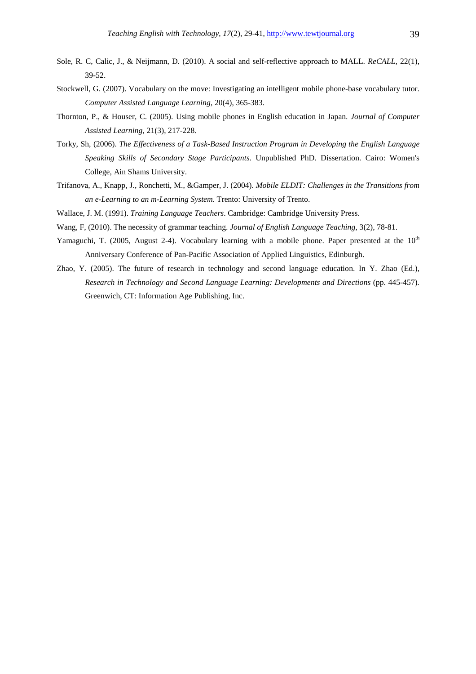- Sole, R. C, Calic, J., & Neijmann, D. (2010). A social and self-reflective approach to MALL. *ReCALL,* 22(1), 39-52.
- Stockwell, G. (2007). Vocabulary on the move: Investigating an intelligent mobile phone-base vocabulary tutor. *Computer Assisted Language Learning,* 20(4), 365-383.
- Thornton, P., & Houser, C. (2005). Using mobile phones in English education in Japan. *Journal of Computer Assisted Learning,* 21(3), 217-228.
- Torky, Sh, (2006). *The Effectiveness of a Task-Based Instruction Program in Developing the English Language Speaking Skills of Secondary Stage Participants*. Unpublished PhD. Dissertation. Cairo: Women's College, Ain Shams University.
- Trifanova, A., Knapp, J., Ronchetti, M., &Gamper, J. (2004). *Mobile ELDIT: Challenges in the Transitions from an e-Learning to an m-Learning System*. Trento: University of Trento.
- Wallace, J. M. (1991). *Training Language Teachers*. Cambridge: Cambridge University Press.
- Wang, F, (2010). The necessity of grammar teaching. *Journal of English Language Teaching,* 3(2), 78-81.
- Yamaguchi, T. (2005, August 2-4). Vocabulary learning with a mobile phone. Paper presented at the 10<sup>th</sup> Anniversary Conference of Pan-Pacific Association of Applied Linguistics, Edinburgh.
- Zhao, Y. (2005). The future of research in technology and second language education. In Y. Zhao (Ed.), *Research in Technology and Second Language Learning: Developments and Directions* (pp. 445-457)*.* Greenwich, CT: Information Age Publishing, Inc.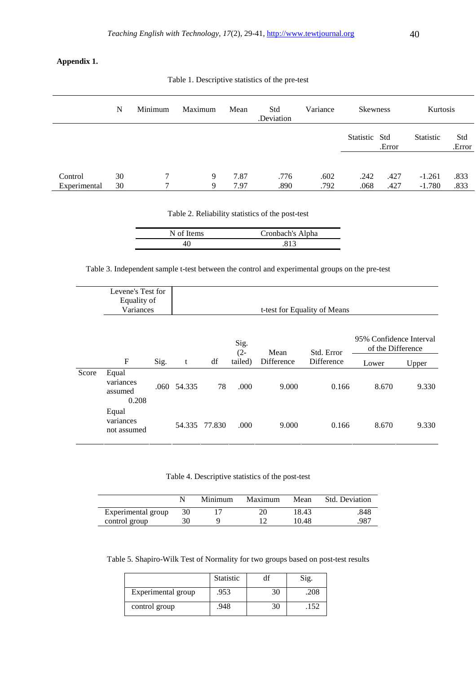## **Appendix 1.**

|              | N  | Minimum | Maximum | Mean | Std<br>.Deviation | Variance | <b>Skewness</b> |        | Kurtosis         |               |
|--------------|----|---------|---------|------|-------------------|----------|-----------------|--------|------------------|---------------|
|              |    |         |         |      |                   |          | Statistic Std   | .Error | <b>Statistic</b> | Std<br>.Error |
| Control      | 30 |         | 9       | 7.87 | .776              | .602     | .242            | .427   | $-1.261$         | .833          |
| Experimental | 30 | Ξ       | 9       | 7.97 | .890              | .792     | .068            | .427   | $-1.780$         | .833          |

Table 1. Descriptive statistics of the pre-test

Table 2. Reliability statistics of the post-test

| N of Items | Cronbach's Alpha |
|------------|------------------|
|            | 813              |

Table 3. Independent sample t-test between the control and experimental groups on the pre-test

|       | Levene's Test for<br>Equality of<br>Variances |      |        |        |                |            | t-test for Equality of Means |                                              |       |
|-------|-----------------------------------------------|------|--------|--------|----------------|------------|------------------------------|----------------------------------------------|-------|
|       |                                               |      |        |        | Sig.<br>$(2 -$ | Mean       | Std. Error                   | 95% Confidence Interval<br>of the Difference |       |
|       | $\mathbf F$                                   | Sig. | t      | df     | tailed)        | Difference | <b>Difference</b>            | Lower                                        | Upper |
| Score | Equal<br>variances<br>assumed<br>0.208        | .060 | 54.335 | 78     | .000           | 9.000      | 0.166                        | 8.670                                        | 9.330 |
|       | Equal<br>variances<br>not assumed             |      | 54.335 | 77.830 | .000           | 9.000      | 0.166                        | 8.670                                        | 9.330 |

| Table 4. Descriptive statistics of the post-test |  |  |
|--------------------------------------------------|--|--|
|--------------------------------------------------|--|--|

|                    |    | Minimum | Maximum | Mean  | <b>Std.</b> Deviation |
|--------------------|----|---------|---------|-------|-----------------------|
| Experimental group | 30 |         |         | 18.43 | .848                  |
| control group      |    |         |         | 10.48 | 987                   |

Table 5. Shapiro-Wilk Test of Normality for two groups based on post-test results

|                    | <b>Statistic</b> | đI | Sig. |
|--------------------|------------------|----|------|
| Experimental group | .953             | 30 | .208 |
| control group      | .948             | 30 | .152 |